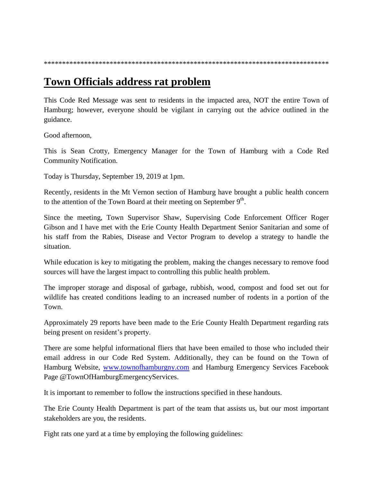\*\*\*\*\*\*\*\*\*\*\*\*\*\*\*\*\*\*\*\*\*\*\*\*\*\*\*\*\*\*\*\*\*\*\*\*\*\*\*\*\*\*\*\*\*\*\*\*\*\*\*\*\*\*\*\*\*\*\*\*\*\*\*\*\*\*\*\*\*\*\*\*\*\*\*\*\*\*

## **Town Officials address rat problem**

This Code Red Message was sent to residents in the impacted area, NOT the entire Town of Hamburg; however, everyone should be vigilant in carrying out the advice outlined in the guidance.

Good afternoon,

This is Sean Crotty, Emergency Manager for the Town of Hamburg with a Code Red Community Notification.

Today is Thursday, September 19, 2019 at 1pm.

Recently, residents in the Mt Vernon section of Hamburg have brought a public health concern to the attention of the Town Board at their meeting on September  $9<sup>th</sup>$ .

Since the meeting, Town Supervisor Shaw, Supervising Code Enforcement Officer Roger Gibson and I have met with the Erie County Health Department Senior Sanitarian and some of his staff from the Rabies, Disease and Vector Program to develop a strategy to handle the situation.

While education is key to mitigating the problem, making the changes necessary to remove food sources will have the largest impact to controlling this public health problem.

The improper storage and disposal of garbage, rubbish, wood, compost and food set out for wildlife has created conditions leading to an increased number of rodents in a portion of the Town.

Approximately 29 reports have been made to the Erie County Health Department regarding rats being present on resident's property.

There are some helpful informational fliers that have been emailed to those who included their email address in our Code Red System. Additionally, they can be found on the Town of Hamburg Website, [www.townofhamburgny.com](http://www.townofhamburgny.com/) and Hamburg Emergency Services Facebook Page @TownOfHamburgEmergencyServices.

It is important to remember to follow the instructions specified in these handouts.

The Erie County Health Department is part of the team that assists us, but our most important stakeholders are you, the residents.

Fight rats one yard at a time by employing the following guidelines: